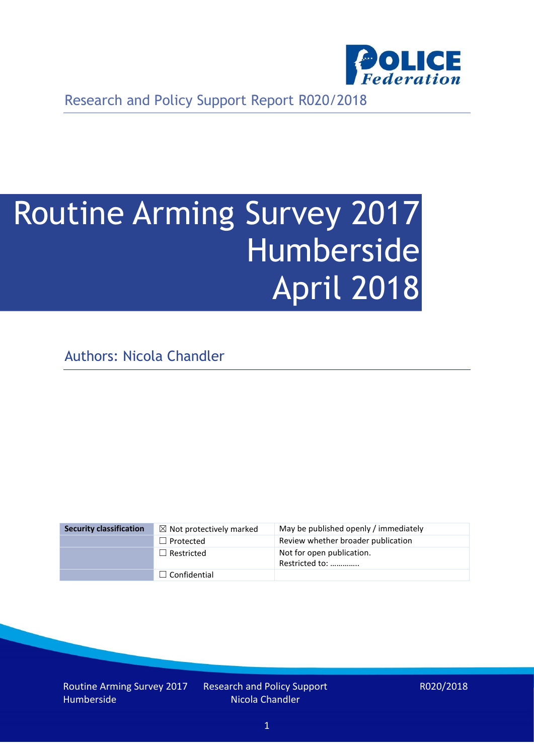

Research and Policy Support Report R020/2018

# Routine Arming Survey 2017 Humberside April 2018

Authors: Nicola Chandler

| <b>Security classification</b> | $\boxtimes$ Not protectively marked | May be published openly / immediately       |
|--------------------------------|-------------------------------------|---------------------------------------------|
|                                | $\Box$ Protected                    | Review whether broader publication          |
|                                | $\Box$ Restricted                   | Not for open publication.<br>Restricted to: |
|                                | $\Box$ Confidential                 |                                             |

Routine Arming Survey 2017 Humberside

Research and Policy Support Nicola Chandler

R020/2018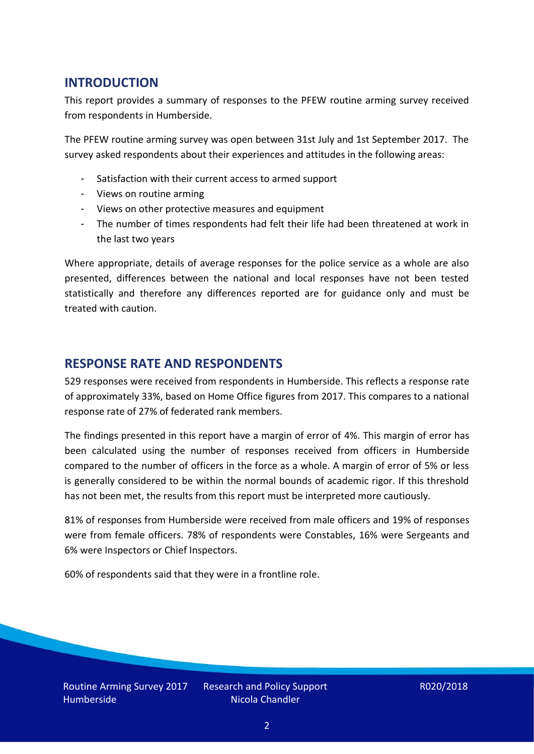## **INTRODUCTION**

This report provides a summary of responses to the PFEW routine arming survey received from respondents in Humberside.

The PFEW routine arming survey was open between 31st July and 1st September 2017. The survey asked respondents about their experiences and attitudes in the following areas:

- Satisfaction with their current access to armed support
- Views on routine arming
- Views on other protective measures and equipment
- The number of times respondents had felt their life had been threatened at work in the last two years

Where appropriate, details of average responses for the police service as a whole are also presented, differences between the national and local responses have not been tested statistically and therefore any differences reported are for guidance only and must be treated with caution.

## **RESPONSE RATE AND RESPONDENTS**

529 responses were received from respondents in Humberside. This reflects a response rate of approximately 33%, based on Home Office figures from 2017. This compares to a national response rate of 27% of federated rank members.

The findings presented in this report have a margin of error of 4%. This margin of error has been calculated using the number of responses received from officers in Humberside compared to the number of officers in the force as a whole. A margin of error of 5% or less is generally considered to be within the normal bounds of academic rigor. If this threshold has not been met, the results from this report must be interpreted more cautiously.

81% of responses from Humberside were received from male officers and 19% of responses were from female officers. 78% of respondents were Constables, 16% were Sergeants and 6% were Inspectors or Chief Inspectors.

60% of respondents said that they were in a frontline role.

Routine Arming Survey 2017 Humberside

Research and Policy Support Nicola Chandler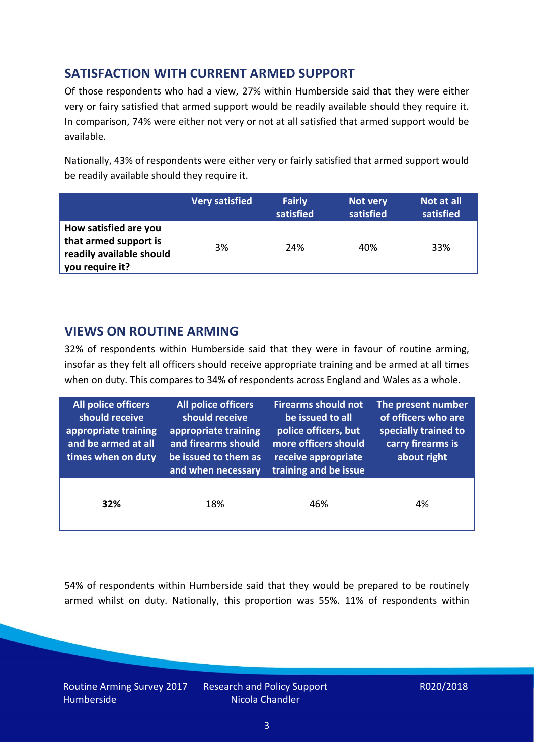# **SATISFACTION WITH CURRENT ARMED SUPPORT**

Of those respondents who had a view, 27% within Humberside said that they were either very or fairy satisfied that armed support would be readily available should they require it. In comparison, 74% were either not very or not at all satisfied that armed support would be available.

Nationally, 43% of respondents were either very or fairly satisfied that armed support would be readily available should they require it.

|                                                                                               | <b>Very satisfied</b> | <b>Fairly</b><br>satisfied | Not very<br>satisfied | Not at all<br>satisfied |
|-----------------------------------------------------------------------------------------------|-----------------------|----------------------------|-----------------------|-------------------------|
| How satisfied are you<br>that armed support is<br>readily available should<br>you require it? | 3%                    | 24%                        | 40%                   | 33%                     |

## **VIEWS ON ROUTINE ARMING**

32% of respondents within Humberside said that they were in favour of routine arming, insofar as they felt all officers should receive appropriate training and be armed at all times when on duty. This compares to 34% of respondents across England and Wales as a whole.

| <b>All police officers</b><br>should receive<br>appropriate training<br>and be armed at all<br>times when on duty | All police officers<br>should receive<br>appropriate training<br>and firearms should<br>be issued to them as<br>and when necessary | <b>Firearms should not</b><br>be issued to all<br>police officers, but<br>more officers should<br>receive appropriate<br>training and be issue | The present number<br>of officers who are<br>specially trained to<br>carry firearms is<br>about right |  |
|-------------------------------------------------------------------------------------------------------------------|------------------------------------------------------------------------------------------------------------------------------------|------------------------------------------------------------------------------------------------------------------------------------------------|-------------------------------------------------------------------------------------------------------|--|
| 32%                                                                                                               | 18%                                                                                                                                | 46%                                                                                                                                            | 4%                                                                                                    |  |

54% of respondents within Humberside said that they would be prepared to be routinely armed whilst on duty. Nationally, this proportion was 55%. 11% of respondents within

Routine Arming Survey 2017 Humberside

Research and Policy Support Nicola Chandler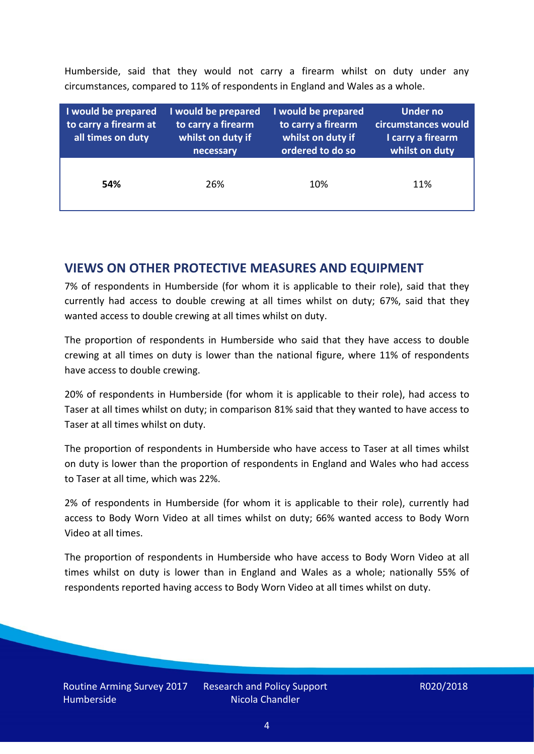Humberside, said that they would not carry a firearm whilst on duty under any circumstances, compared to 11% of respondents in England and Wales as a whole.

| I would be prepared<br>to carry a firearm at<br>all times on duty | I would be prepared<br>to carry a firearm<br>whilst on duty if<br>necessary | I would be prepared<br>to carry a firearm<br>whilst on duty if<br>ordered to do so | <b>Under no</b><br>circumstances would<br>I carry a firearm<br>whilst on duty |
|-------------------------------------------------------------------|-----------------------------------------------------------------------------|------------------------------------------------------------------------------------|-------------------------------------------------------------------------------|
| 54%                                                               | 26%                                                                         | 10%                                                                                | 11%                                                                           |

#### **VIEWS ON OTHER PROTECTIVE MEASURES AND EQUIPMENT**

7% of respondents in Humberside (for whom it is applicable to their role), said that they currently had access to double crewing at all times whilst on duty; 67%, said that they wanted access to double crewing at all times whilst on duty.

The proportion of respondents in Humberside who said that they have access to double crewing at all times on duty is lower than the national figure, where 11% of respondents have access to double crewing.

20% of respondents in Humberside (for whom it is applicable to their role), had access to Taser at all times whilst on duty; in comparison 81% said that they wanted to have access to Taser at all times whilst on duty.

The proportion of respondents in Humberside who have access to Taser at all times whilst on duty is lower than the proportion of respondents in England and Wales who had access to Taser at all time, which was 22%.

2% of respondents in Humberside (for whom it is applicable to their role), currently had access to Body Worn Video at all times whilst on duty; 66% wanted access to Body Worn Video at all times.

The proportion of respondents in Humberside who have access to Body Worn Video at all times whilst on duty is lower than in England and Wales as a whole; nationally 55% of respondents reported having access to Body Worn Video at all times whilst on duty.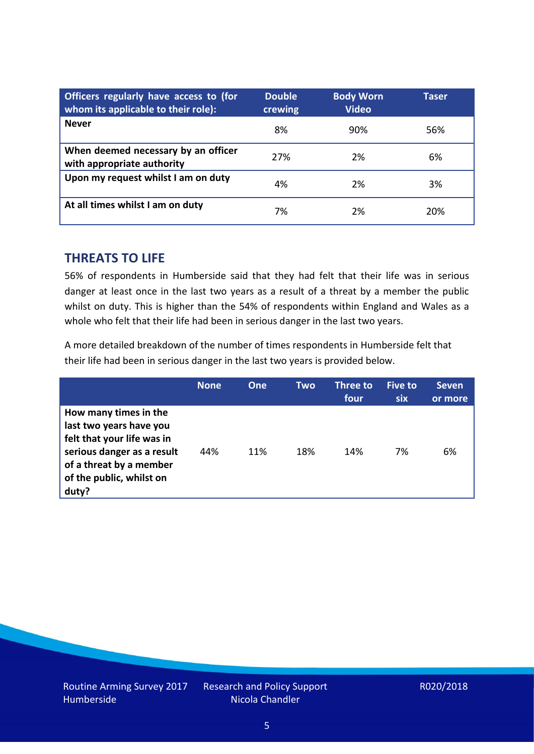| Officers regularly have access to (for<br>whom its applicable to their role): | <b>Double</b><br>crewing | <b>Body Worn</b><br><b>Video</b> | Taser |
|-------------------------------------------------------------------------------|--------------------------|----------------------------------|-------|
| <b>Never</b>                                                                  | 8%                       | 90%                              | 56%   |
| When deemed necessary by an officer<br>with appropriate authority             | 27%                      | 2%                               | 6%    |
| Upon my request whilst I am on duty                                           | 4%                       | 2%                               | 3%    |
| At all times whilst I am on duty                                              | 7%                       | 2%                               | 20%   |

#### **THREATS TO LIFE**

56% of respondents in Humberside said that they had felt that their life was in serious danger at least once in the last two years as a result of a threat by a member the public whilst on duty. This is higher than the 54% of respondents within England and Wales as a whole who felt that their life had been in serious danger in the last two years.

A more detailed breakdown of the number of times respondents in Humberside felt that their life had been in serious danger in the last two years is provided below.

|                                                                                                                                                                              | <b>None</b> | One | Two | Three to<br>four | Five to<br>six | <b>Seven</b><br>or more |
|------------------------------------------------------------------------------------------------------------------------------------------------------------------------------|-------------|-----|-----|------------------|----------------|-------------------------|
| How many times in the<br>last two years have you<br>felt that your life was in<br>serious danger as a result<br>of a threat by a member<br>of the public, whilst on<br>duty? | 44%         | 11% | 18% | 14%              | 7%             | 6%                      |

Research and Policy Support Nicola Chandler